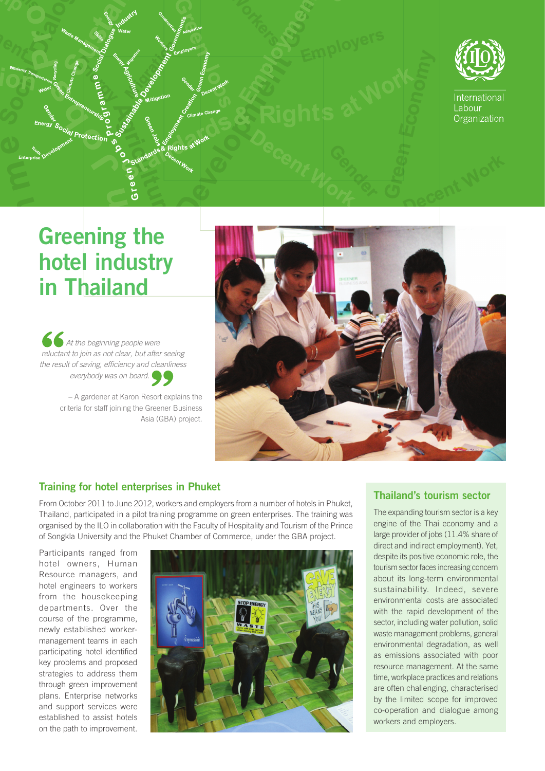

International Labour Organization

# **Greening the hotel industry in Thailand**

y<br><sub>an</sub>t Protectio

*At the beginning people were reluctant to join as not clear, but after seeing*  the result of saving, efficiency and cleanliness *everybody was on board.* 

> – A gardener at Karon Resort explains the criteria for staff joining the Greener Business Asia (GBA) project.



## **Training for hotel enterprises in Phuket**

From October 2011 to June 2012, workers and employers from a number of hotels in Phuket, Thailand, participated in a pilot training programme on green enterprises. The training was organised by the ILO in collaboration with the Faculty of Hospitality and Tourism of the Prince of Songkla University and the Phuket Chamber of Commerce, under the GBA project.

Participants ranged from hotel owners, Human Resource managers, and hotel engineers to workers from the housekeeping departments. Over the course of the programme, newly established workermanagement teams in each participating hotel identified key problems and proposed strategies to address them through green improvement plans. Enterprise networks and support services were established to assist hotels on the path to improvement.



# **Thailand's tourism sector**

The expanding tourism sector is a key engine of the Thai economy and a large provider of jobs (11.4% share of direct and indirect employment). Yet, despite its positive economic role, the tourism sector faces increasing concern about its long-term environmental sustainability. Indeed, severe environmental costs are associated with the rapid development of the sector, including water pollution, solid waste management problems, general environmental degradation, as well as emissions associated with poor resource management. At the same time, workplace practices and relations are often challenging, characterised by the limited scope for improved co-operation and dialogue among workers and employers.